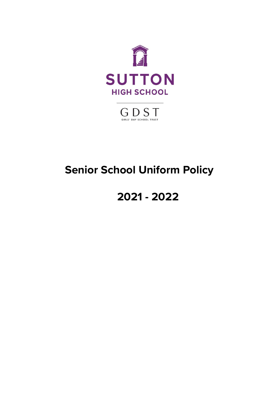

 $\bigoplus_{\mathsf{GIRIS'}}\bigoplus_{\mathsf{DAY}}\mathop{\mathsf{SCHODL}}_{\mathsf{TRUST}}$ 

# **Senior School Uniform Policy**

# **2021 - 2022**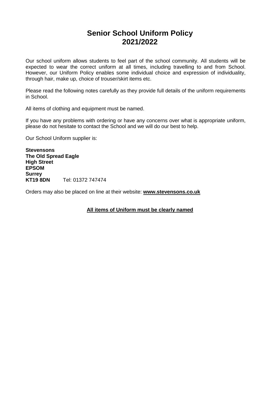#### **Senior School Uniform Policy 2021/2022**

Our school uniform allows students to feel part of the school community. All students will be expected to wear the correct uniform at all times, including travelling to and from School. However, our Uniform Policy enables some individual choice and expression of individuality, through hair, make up, choice of trouser/skirt items etc.

Please read the following notes carefully as they provide full details of the uniform requirements in School.

All items of clothing and equipment must be named.

If you have any problems with ordering or have any concerns over what is appropriate uniform, please do not hesitate to contact the School and we will do our best to help.

Our School Uniform supplier is:

**Stevensons The Old Spread Eagle High Street EPSOM Surrey<br>KT19 8DN KT19 8DN** Tel: 01372 747474

Orders may also be placed on line at their website: **[www.stevensons.co.uk](http://www.lesterbowden.co.uk/)**

**All items of Uniform must be clearly named**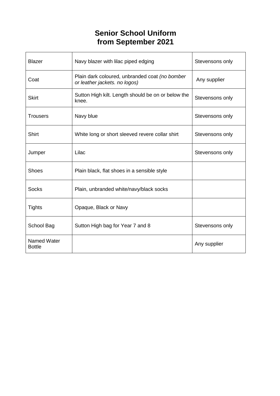## **Senior School Uniform from September 2021**

| <b>Blazer</b>                | Navy blazer with lilac piped edging                                             | Stevensons only |
|------------------------------|---------------------------------------------------------------------------------|-----------------|
| Coat                         | Plain dark coloured, unbranded coat (no bomber<br>or leather jackets. no logos) | Any supplier    |
| <b>Skirt</b>                 | Sutton High kilt. Length should be on or below the<br>knee.                     | Stevensons only |
| <b>Trousers</b>              | Navy blue                                                                       | Stevensons only |
| <b>Shirt</b>                 | White long or short sleeved revere collar shirt                                 | Stevensons only |
| Jumper                       | Lilac                                                                           | Stevensons only |
| <b>Shoes</b>                 | Plain black, flat shoes in a sensible style                                     |                 |
| <b>Socks</b>                 | Plain, unbranded white/navy/black socks                                         |                 |
| <b>Tights</b>                | Opaque, Black or Navy                                                           |                 |
| School Bag                   | Sutton High bag for Year 7 and 8                                                | Stevensons only |
| Named Water<br><b>Bottle</b> |                                                                                 | Any supplier    |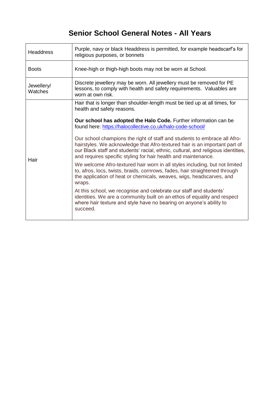## **Senior School General Notes - All Years**

| Purple, navy or black Headdress is permitted, for example headscarf's for<br>religious purposes, or bonnets                                                                                                                                                                                                    |  |
|----------------------------------------------------------------------------------------------------------------------------------------------------------------------------------------------------------------------------------------------------------------------------------------------------------------|--|
| Knee-high or thigh-high boots may not be worn at School.                                                                                                                                                                                                                                                       |  |
| Discrete jewellery may be worn. All jewellery must be removed for PE<br>lessons, to comply with health and safety requirements. Valuables are<br>worn at own risk.                                                                                                                                             |  |
| Hair that is longer than shoulder-length must be tied up at all times, for<br>health and safety reasons.                                                                                                                                                                                                       |  |
| Our school has adopted the Halo Code. Further information can be<br>found here: https://halocollective.co.uk/halo-code-school/                                                                                                                                                                                 |  |
| Our school champions the right of staff and students to embrace all Afro-<br>hairstyles. We acknowledge that Afro-textured hair is an important part of<br>our Black staff and students' racial, ethnic, cultural, and religious identities,<br>and requires specific styling for hair health and maintenance. |  |
| We welcome Afro-textured hair worn in all styles including, but not limited<br>to, afros, locs, twists, braids, cornrows, fades, hair straightened through<br>the application of heat or chemicals, weaves, wigs, headscarves, and<br>wraps.                                                                   |  |
| At this school, we recognise and celebrate our staff and students'<br>identities. We are a community built on an ethos of equality and respect<br>where hair texture and style have no bearing on anyone's ability to<br>succeed.                                                                              |  |
|                                                                                                                                                                                                                                                                                                                |  |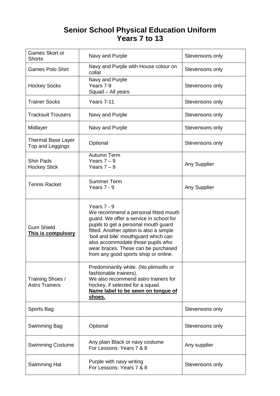#### **Senior School Physical Education Uniform Years 7 to 13**

| Games Skort or<br><b>Shorts</b>                | Navy and Purple                                                                                                                                                                                                                                                                                                                               | Stevensons only |
|------------------------------------------------|-----------------------------------------------------------------------------------------------------------------------------------------------------------------------------------------------------------------------------------------------------------------------------------------------------------------------------------------------|-----------------|
| <b>Games Polo Shirt</b>                        | Navy and Purple with House colour on<br>collar                                                                                                                                                                                                                                                                                                | Stevensons only |
| <b>Hockey Socks</b>                            | Navy and Purple<br>Years 7-9<br>Squad - All years                                                                                                                                                                                                                                                                                             | Stevensons only |
| <b>Trainer Socks</b>                           | Years 7-11                                                                                                                                                                                                                                                                                                                                    | Stevensons only |
| <b>Tracksuit Trousers</b>                      | Navy and Purple                                                                                                                                                                                                                                                                                                                               | Stevensons only |
| Midlayer                                       | Navy and Purple                                                                                                                                                                                                                                                                                                                               | Stevensons only |
| <b>Thermal Base Layer</b><br>Top and Leggings  | Optional                                                                                                                                                                                                                                                                                                                                      | Stevensons only |
| <b>Shin Pads</b><br><b>Hockey Stick</b>        | Autumn Term<br>Years $7 - 9$<br>Years $7 - 9$                                                                                                                                                                                                                                                                                                 | Any Supplier    |
| <b>Tennis Racket</b>                           | <b>Summer Term</b><br>Years 7 - 9                                                                                                                                                                                                                                                                                                             | Any Supplier    |
| <b>Gum Shield</b><br><b>This is compulsory</b> | Years 7 - 9<br>We recommend a personal fitted mouth<br>guard. We offer a service in school for<br>pupils to get a personal mouth guard<br>fitted. Another option is also a simple<br>'boil and bite' mouthguard which can<br>also accommodate those pupils who<br>wear braces. These can be purchased<br>from any good sports shop or online. |                 |
| Training Shoes /<br><b>Astro Trainers</b>      | Predominantly white. (No plimsolls or<br>fashionable trainers).<br>We also recommend astro trainers for<br>hockey, if selected for a squad.<br>Name label to be sewn on tongue of<br>shoes.                                                                                                                                                   |                 |
| Sports Bag                                     |                                                                                                                                                                                                                                                                                                                                               | Stevensons only |
| Swimming Bag                                   | Optional                                                                                                                                                                                                                                                                                                                                      | Stevensons only |
| <b>Swimming Costume</b>                        | Any plain Black or navy costume<br>For Lessons: Years 7 & 8                                                                                                                                                                                                                                                                                   | Any supplier    |
| <b>Swimming Hat</b>                            | Purple with navy writing<br>For Lessons: Years 7 & 8                                                                                                                                                                                                                                                                                          | Stevensons only |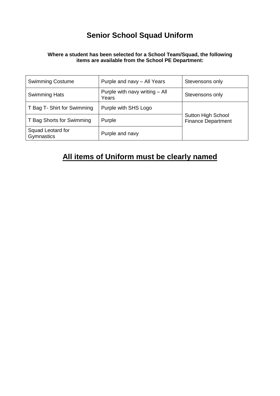### **Senior School Squad Uniform**

#### **Where a student has been selected for a School Team/Squad, the following items are available from the School PE Department:**

| <b>Swimming Costume</b>         | Purple and navy - All Years             | Stevensons only                                        |
|---------------------------------|-----------------------------------------|--------------------------------------------------------|
| <b>Swimming Hats</b>            | Purple with navy writing - All<br>Years | Stevensons only                                        |
| T Bag T- Shirt for Swimming     | Purple with SHS Logo                    |                                                        |
| T Bag Shorts for Swimming       | Purple                                  | <b>Sutton High School</b><br><b>Finance Department</b> |
| Squad Leotard for<br>Gymnastics | Purple and navy                         |                                                        |

### **All items of Uniform must be clearly named**